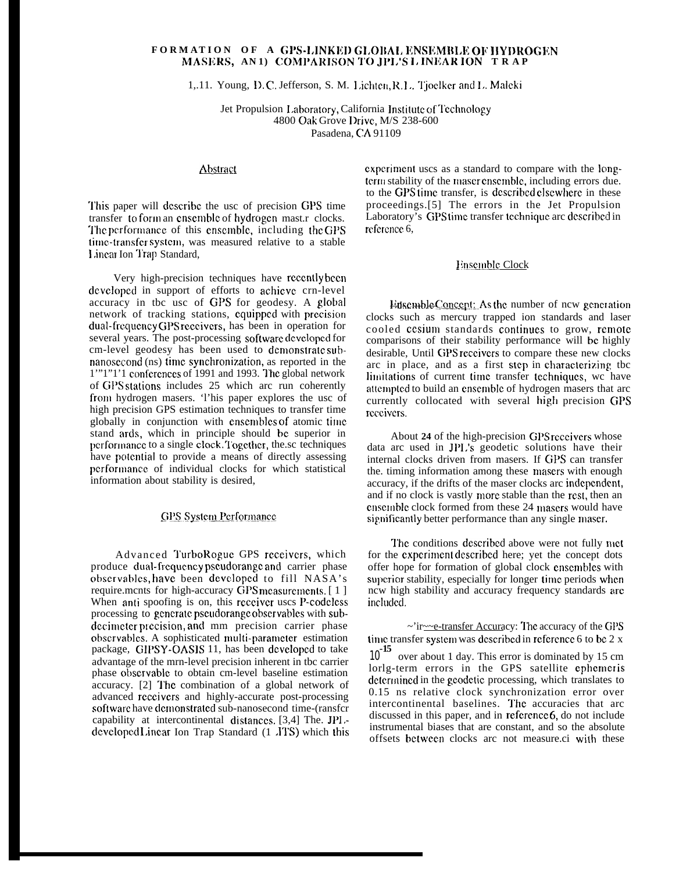# **FORMATION OF A G1'S-I,]NK]j]) G],()]\AI, IINslCMI\I,~; 0]/ ]IY1)ROG]~N MASNRS, AN1) COMI'ARISON 1'0 JPI.'S l, IN1tAR ION TRA P**

1,.11. Young, D.C. Jefferson, S. M. Lichten, R.L. Tjoelker and L. Maleki

Jet Propulsion Laboratory, California Institute of Technology 4800 Oak Grove IJrivc, M/S 238-600 Pasadena, CA 91109

#### Abstract

This paper will describe the usc of precision GPS time transfer to form an ensemble of hydrogen mast.r clocks. The performance of this ensemble, including the GPS time-transfer system, was measured relative to a stable 1,incar Ion '1'rap Standard,

Very high-precision techniques have recently been developed in support of efforts to achieve crn-level accuracy in tbc usc of GPS for geodesy. A global network of tracking stations, equipped with precision dual-frequency GPS receivers, has been in operation for several years. The post-processing software developed for cm-level geodesy has been used to demonstrate subnanosecond (ns) time synchronization, as reported in the 1"'1"1'1 conferences of 1991 and 1993. The global network of GPS stations includes 25 which arc run coherently fronl hydrogen masers. 'l'his paper explores the usc of high precision GPS estimation techniques to transfer time globally in conjunction with ensembles of atomic time stand ards, which in principle should be superior in performance to a single clock. Together, the sc techniques have potential to provide a means of directly assessing performance of individual clocks for which statistical information about stability is desired,

#### **GPS System Performance**

Advanced TurboRoguc GPS rcccivcrs, which produce dual-frequency pseudorange and carrier phase obscrvablcs, bavc been dcvclopcd to fill NASA's require.mcnts for high-accuracy GPS measurements. [1] When anti spoofing is on, this receiver uscs P-codeless processing to generate pseudorange observables with subdecimeter precision, and mm precision carrier phase obscrvables. A sophisticated multi-parameter estimation package, GIPSY-OASIS 11, has been dcvclopcd to take advantage of the mrn-level precision inherent in tbc carrier phase observable to obtain cm-level baseline estimation accuracy. [2] '1'hc combination of a global network of advanced rcccivcrs and highly-accurate post-processing software have demonstrated sub-nanosecond time-(ransfer capability at intercontinental dislanccs. [3,4] The. JPI, developed Linear Ion Trap Standard (1 .ITS) which this experiment uscs as a standard to compare with the longterm stability of the maser ensemble, including errors due. to the GPS tirnc transfer, is dcscribcd clscwhcrc in these proceedings.[5] The errors in the Jet Propulsion Laboratory's GPS time transfer technique arc described in reference 6,

# Ensemble Clock

Ensemble Concept: As the number of ncw generation clocks such as mercury trapped ion standards and laser cooled cesium standards continues to grow, remote comparisons of their stability performance will bc highly desirable, Until GPS receivers to compare these new clocks arc in place, and as a first step in characterizing tbc limitations of current time transfer techniques, wc have attempted to build an ensemble of hydrogen masers that arc currently collocated with several high precision GPS receivers.

About 24 of the high-precision GPS receivers whose data arc used in JPL's geodetic solutions have their internal clocks driven from masers. If GPS can transfer the. timing information among these masers with enough accuracy, if the drifts of the maser clocks arc independent, and if no clock is vastly more stable than the rest, then an ensemble clock formed from these 24 masers would have significantly better performance than any single maser.

The conditions described above were not fully met for the experiment described here; yet the concept dots offer hope for formation of global clock cnscrnblcs with superior stability, especially for longer time periods when ncw high stability and accuracy frequency standards are included.

 $\sim$ 'ir $\sim$ e-transfer Accuracy: The accuracy of the GPS time transfer system was described in reference 6 to be  $2 \times$ 10<sup>-15</sup> over about 1 day. This error is dominated by 15 cm lorlg-term errors in the GPS satellite ephemeris determined in the geodetic processing, which translates to 0.15 ns relative clock synchronization error over intercontinental baselines. The accuracies that arc discussed in this paper, and in reference  $6$ , do not include instrumental biases that are constant, and so the absolute offsets bctwccn clocks arc not measure.ci with these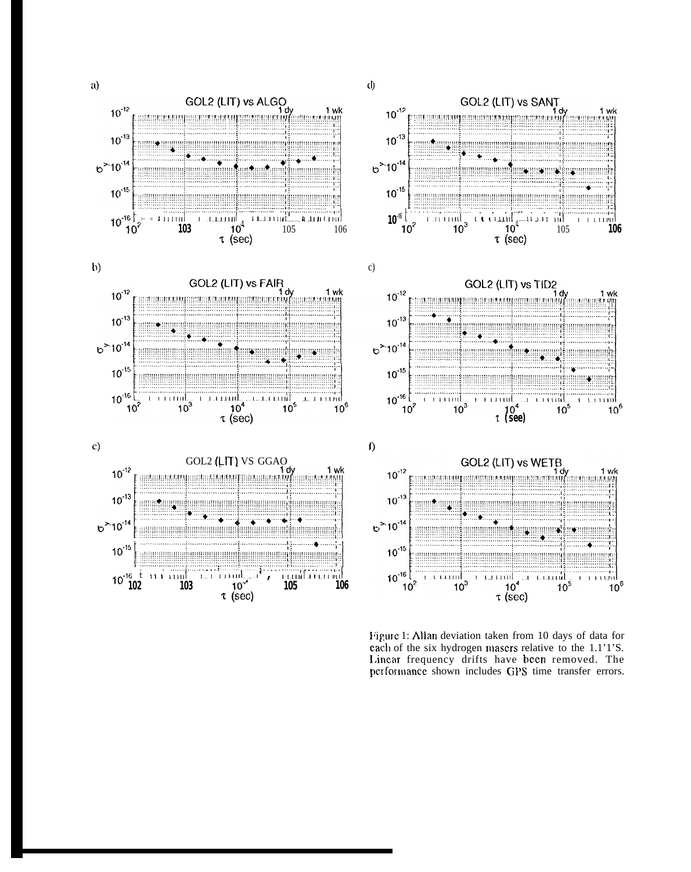













Figure 1: Allan deviation taken from 10 days of data for each of the six hydrogen masers relative to the 1.1'1'S. Linear frequency drifts have been removed. The performance shown includes GPS time transfer errors.

 $\phi$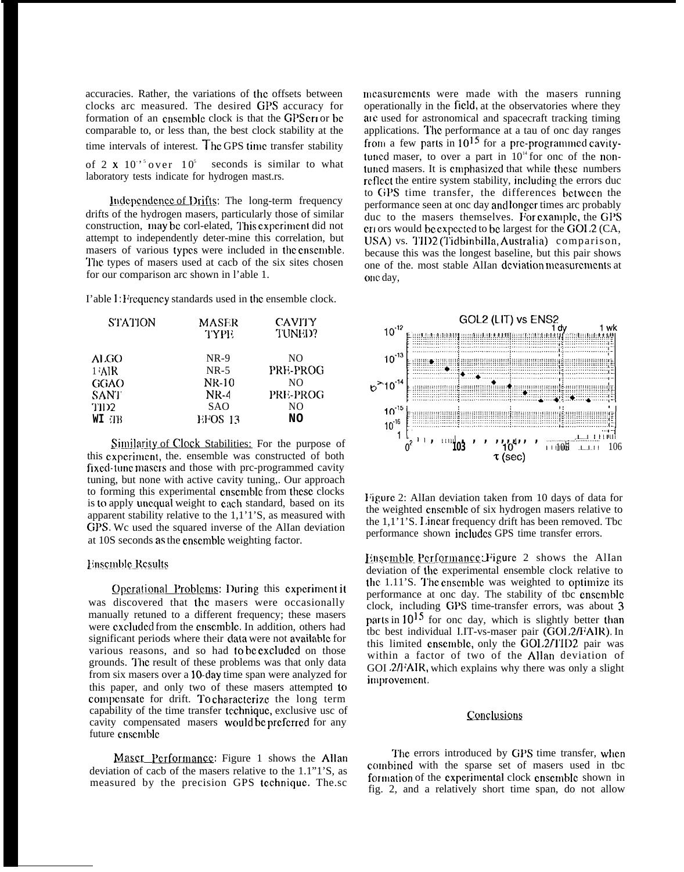accuracies. Rather, the variations of the offsets between clocks arc measured. The desired GPS accuracy for formation of an ensemble clock is that the GPS cri or be comparable to, or less than, the best clock stability at the time intervals of interest. The GPS time transfer stability of 2  $\times$  10<sup>-5</sup> over 10<sup>5</sup> seconds is similar to what laboratory tests indicate for hydrogen mast.rs.

Independence of Drifts: The long-term frequency drifts of the hydrogen masers, particularly those of similar construction, may be corl-elated, This experiment did not attempt to independently deter-mine this correlation, but masers of various types were included in the cnscmblc. The types of masers used at cacb of the six sites chosen for our comparison arc shown in l'able 1.

I'able 1: Frequency standards used in the ensemble clock.

| <b>STATION</b> | <b>MASER</b><br>TYPE | <b>CAVITY</b><br><b>TUNED?</b> |
|----------------|----------------------|--------------------------------|
| ALGO           | $NR-9$               | N <sub>O</sub>                 |
| 1 AIR          | $NR-5$               | PRE-PROG                       |
| GGAO           | $NK-10$              | NΟ                             |
| <b>SANT</b>    | <b>NR-4</b>          | PRE-PROG                       |
| TID2           | <b>SAO</b>           | N <sub>O</sub>                 |
| WI TB          | EFOS 13              | NO                             |

Similarity of Clock Stabilities: For the purpose of this experiment, the, ensemble was constructed of both fixed-tune masers and those with prc-programmed cavity tuning, but none with active cavity tuning,. Our approach to forming this experimental ensemble from these clocks is to apply uncqual weight to each standard, based on its apparent stability relative to the 1,1'1'S, as measured with GPS. Wc used the squared inverse of the AlIan deviation at 10S seconds as the cnscmblc weighting factor.

## **Ensemble Results**

Operational Problems: During this experiment it was discovered that the masers were occasionally manually retuned to a different frequency; these masers were cxcludcd from the cnscmblc. In addition, others had significant periods where their data were not available for various reasons, and so had to be excluded on those grounds. The result of these problems was that only data from six masers over a 10-day time span were analyzed for this paper, and only two of these masers attempted to compensate for drift. To characterize the long term capability of the time transfer tcchniquc, exclusive usc of cavity compensated masers would be preferred for any future cnscmblc

Maser Performance: Figure 1 shows the Allan deviation of cacb of the masers relative to the 1.1"1'S, as measured by the precision GPS tcchniquc. The.sc

measurements were made with the masers running operationally in the field, at the observatories where they are used for astronomical and spacecraft tracking timing applications. The performance at a tau of onc day ranges from a few parts in  $10^{15}$  for a pre-programmed cavitytuncd maser, to over a part in  $10<sup>14</sup>$  for onc of the nontuncd masers. It is cmpbasizcd that while these numbers reflect the entire system stability, including the errors duc to (iPS time transfer, the differences bctwccn the performance seen at onc day and longer times arc probably duc to the masers themselves. For example, the GPS cn ors would bc cxpcctcd to bc largest for the GOI,2 (CA, LJSA) vs. 1'11)2 (Tidbinbilla, Austratia) comparison, because this was the longest baseline, but this pair shows one of the. most stable AlIan deviation measurements at one day,



Figure 2: AlIan deviation taken from 10 days of data for the weighted cnscmblc of six hydrogen masers relative to the  $1,1'1'S$ . I incar frequency drift has been removed. Tbc performance shown includes GPS time transfer errors.

Ensemble Performance: Figure 2 shows the AlIan deviation of the experimental ensemble clock relative to the  $1.11$ 'S. The ensemble was weighted to optimize its performance at onc day. The stability of tbc cnscmblc clock, including GPS time-transfer errors, was about 3 parts in  $10^{15}$  for onc day, which is slightly better than tbc best individual I.IT-vs-maser pair (GOI.2/FAIR). In this limited ensemble, only the  $\text{GOL2/TID2}$  pair was within a factor of two of the Allan deviation of GOI .2/J'AIR, which explains why there was only a slight improvement.

# Conclusions

The errors introduced by GPS time transfer, when cornbincd with the sparse set of masers used in tbc formation of the experimental clock ensemble shown in fig. 2, and a relatively short time span, do not allow